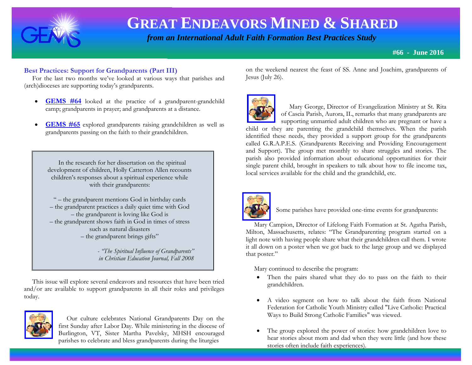

 *from an International Adult Faith Formation Best Practices Study*

**#66 - June 2016**

#### **Best Practices: Support for Grandparents (Part III)**

 For the last two months we've looked at various ways that parishes and (arch)dioceses are supporting today's grandparents.

- **GEMS** #64 looked at the practice of a grandparent-grandchild camp; grandparents in prayer; and grandparents at a distance.
- **[GEMS #65](http://www.janetschaeffler.com/GEMS__65.pdf)** explored grandparents raising grandchildren as well as grandparents passing on the faith to their grandchildren.

 In the research for her dissertation on the spiritual development of children, Holly Catterton Allen recounts children's responses about a spiritual experience while with their grandparents:

" – the grandparent mentions God in birthday cards – the grandparent practices a daily quiet time with God – the grandparent is loving like God is – the grandparent shows faith in God in times of stress such as natural disasters – the grandparent brings gifts"

> *- "The Spiritual Influence of Grandparents" in Christian Education Journal, Fall 2008*

 This issue will explore several endeavors and resources that have been tried and/or are available to support grandparents in all their roles and privileges today.



 Our culture celebrates National Grandparents Day on the first Sunday after Labor Day. While ministering in the diocese of Burlington, VT, Sister Martha Pavelsky, MHSH encouraged parishes to celebrate and bless grandparents during the liturgies

on the weekend nearest the feast of SS. Anne and Joachim, grandparents of Jesus (July 26).



 Mary George, Director of Evangelization Ministry at St. Rita of Cascia Parish, Aurora, IL, remarks that many grandparents are supporting unmarried adult children who are pregnant or have a

child or they are parenting the grandchild themselves. When the parish identified these needs, they provided a support group for the grandparents called G.R.A.P.E.S. (Grandparents Receiving and Providing Encouragement and Support). The group met monthly to share struggles and stories. The parish also provided information about educational opportunities for their single parent child, brought in speakers to talk about how to file income tax, local services available for the child and the grandchild, etc.



Some parishes have provided one-time events for grandparents:

 Mary Campion, Director of Lifelong Faith Formation at St. Agatha Parish, Milton, Massachusetts, relates: "The Grandparenting program started on a light note with having people share what their grandchildren call them. I wrote it all down on a poster when we got back to the large group and we displayed that poster."

Mary continued to describe the program:

- Then the pairs shared what they do to pass on the faith to their grandchildren.
- A video segment on how to talk about the faith from National Federation for Catholic Youth Ministry called "Live Catholic: Practical Ways to Build Strong Catholic Families" was viewed.
- The group explored the power of stories: how grandchildren love to hear stories about mom and dad when they were little (and how these stories often include faith experiences).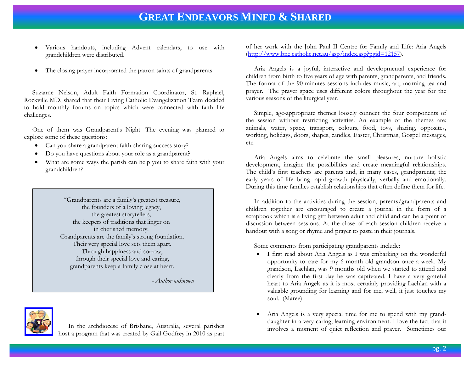- Various handouts, including Advent calendars, to use with grandchildren were distributed.
- The closing prayer incorporated the patron saints of grandparents.

 Suzanne Nelson, Adult Faith Formation Coordinator, St. Raphael, Rockville MD, shared that their Living Catholic Evangelization Team decided to hold monthly forums on topics which were connected with faith life challenges.

 One of them was Grandparent's Night. The evening was planned to explore some of these questions:

- Can you share a grandparent faith-sharing success story?
- Do you have questions about your role as a grandparent?
- What are some ways the parish can help you to share faith with your grandchildren?

 "Grandparents are a family's greatest treasure, the founders of a loving legacy, the greatest storytellers, the keepers of traditions that linger on in cherished memory. Grandparents are the family's strong foundation. Their very special love sets them apart. Through happiness and sorrow, through their special love and caring, grandparents keep a family close at heart.

*- Author unknown* 



 In the archdiocese of Brisbane, Australia, several parishes host a program that was created by Gail Godfrey in 2010 as part of her work with the John Paul II Centre for Family and Life: Aria Angels [\(http://www.bne.catholic.net.au/asp/index.asp?pgid=12157\)](http://www.bne.catholic.net.au/asp/index.asp?pgid=12157).

 Aria Angels is a joyful, interactive and developmental experience for children from birth to five years of age with parents, grandparents, and friends. The format of the 90-minutes sessions includes music, art, morning tea and prayer. The prayer space uses different colors throughout the year for the various seasons of the liturgical year.

 Simple, age-appropriate themes loosely connect the four components of the session without restricting activities. An example of the themes are: animals, water, space, transport, colours, food, toys, sharing, opposites, working, holidays, doors, shapes, candles, Easter, Christmas, Gospel messages, etc.

 Aria Angels aims to celebrate the small pleasures, nurture holistic development, imagine the possibilities and create meaningful relationships. The child's first teachers are parents and, in many cases, grandparents; the early years of life bring rapid growth physically, verbally and emotionally. During this time families establish relationships that often define them for life.

 In addition to the activities during the session, parents/grandparents and children together are encouraged to create a journal in the form of a scrapbook which is a living gift between adult and child and can be a point of discussion between sessions. At the close of each session children receive a handout with a song or rhyme and prayer to paste in their journals.

Some comments from participating grandparents include:

- I first read about Aria Angels as I was embarking on the wonderful opportunity to care for my 6 month old grandson once a week. My grandson, Lachlan, was 9 months old when we started to attend and clearly from the first day he was captivated. I have a very grateful heart to Aria Angels as it is most certainly providing Lachlan with a valuable grounding for learning and for me, well, it just touches my soul. (Maree)
- Aria Angels is a very special time for me to spend with my granddaughter in a very caring, learning environment. I love the fact that it involves a moment of quiet reflection and prayer. Sometimes our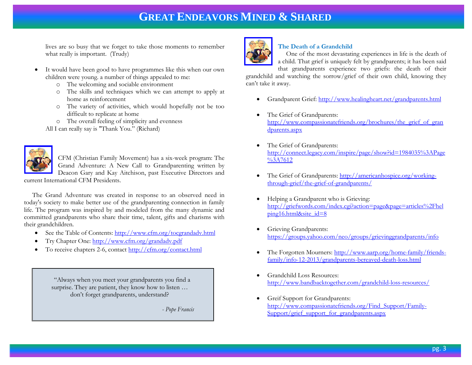lives are so busy that we forget to take those moments to remember what really is important. (Trudy)

- It would have been good to have programmes like this when our own children were young. a number of things appealed to me:
	- o The welcoming and sociable environment
	- o The skills and techniques which we can attempt to apply at home as reinforcement
	- o The variety of activities, which would hopefully not be too difficult to replicate at home
	- o The overall feeling of simplicity and evenness

All I can really say is "Thank You." (Richard)



CFM (Christian Family Movement) has a six-week program: The Grand Adventure: A New Call to Grandparenting written by Deacon Gary and Kay Aitchison, past Executive Directors and

current International CFM Presidents.

 The Grand Adventure was created in response to an observed need in today's society to make better use of the grandparenting connection in family life. The program was inspired by and modeled from the many dynamic and committed grandparents who share their time, talent, gifts and charisms with their grandchildren.

- See the Table of Contents: http://www.cfm.org/tocgrandady.html
- Try Chapter One:<http://www.cfm.org/grandadv.pdf>
- To receive chapters 2-6, contact<http://cfm.org/contact.html>

 "Always when you meet your grandparents you find a surprise. They are patient, they know how to listen ... don't forget grandparents, understand?

*- Pope Francis* 



### **The Death of a Grandchild**

 One of the most devastating experiences in life is the death of a child. That grief is uniquely felt by grandparents; it has been said that grandparents experience two griefs: the death of their

grandchild and watching the sorrow/grief of their own child, knowing they can't take it away.

- Grandparent Grief:<http://www.healingheart.net/grandparents.html>
- The Grief of Grandparents: [http://www.compassionatefriends.org/brochures/the\\_grief\\_of\\_gran](http://www.compassionatefriends.org/brochures/the_grief_of_grandparents.aspx) [dparents.aspx](http://www.compassionatefriends.org/brochures/the_grief_of_grandparents.aspx)
- The Grief of Grandparents: [http://connect.legacy.com/inspire/page/show?id=1984035%3APage](http://connect.legacy.com/inspire/page/show?id=1984035%3APage%3A7612)  $\sqrt{3}$ A7612
- The Grief of Grandparents: [http://americanhospice.org/working](http://americanhospice.org/working-through-grief/the-grief-of-grandparents/)[through-grief/the-grief-of-grandparents/](http://americanhospice.org/working-through-grief/the-grief-of-grandparents/)
- Helping a Grandparent who is Grieving: [http://griefwords.com/index.cgi?action=page&page=articles%2Fhel](http://griefwords.com/index.cgi?action=page&page=articles%2Fhelping16.html&site_id=8) [ping16.html&site\\_id=8](http://griefwords.com/index.cgi?action=page&page=articles%2Fhelping16.html&site_id=8)
- Grieving Grandparents: <https://groups.yahoo.com/neo/groups/grievinggrandparents/info>
- The Forgotten Mourners: [http://www.aarp.org/home-family/friends](http://www.aarp.org/home-family/friends-family/info-12-2013/grandparents-bereaved-death-loss.html)[family/info-12-2013/grandparents-bereaved-death-loss.html](http://www.aarp.org/home-family/friends-family/info-12-2013/grandparents-bereaved-death-loss.html)
- Grandchild Loss Resources: <http://www.bandbacktogether.com/grandchild-loss-resources/>
- Greif Support for Grandparents: [http://www.compassionatefriends.org/Find\\_Support/Family-](http://www.compassionatefriends.org/Find_Support/Family-Support/grief_support_for_grandparents.aspx)[Support/grief\\_support\\_for\\_grandparents.aspx](http://www.compassionatefriends.org/Find_Support/Family-Support/grief_support_for_grandparents.aspx)